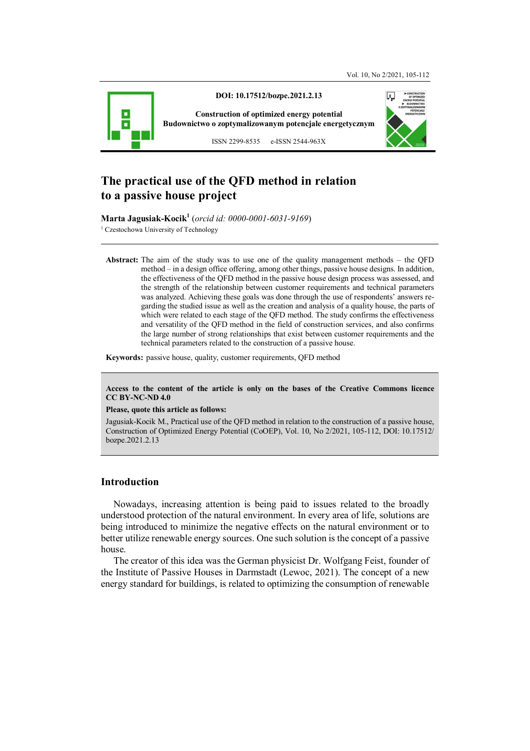

# **The practical use of the QFD method in relation to a passive house project**

**Marta Jagusiak-Kocik<sup>1</sup>** (*orcid id: 0000-0001-6031-9169*)

<sup>1</sup> Czestochowa University of Technology

**Abstract:** The aim of the study was to use one of the quality management methods – the QFD method – in a design office offering, among other things, passive house designs. In addition, the effectiveness of the QFD method in the passive house design process was assessed, and the strength of the relationship between customer requirements and technical parameters was analyzed. Achieving these goals was done through the use of respondents' answers regarding the studied issue as well as the creation and analysis of a quality house, the parts of which were related to each stage of the QFD method. The study confirms the effectiveness and versatility of the QFD method in the field of construction services, and also confirms the large number of strong relationships that exist between customer requirements and the technical parameters related to the construction of a passive house.

**Keywords:** passive house, quality, customer requirements, QFD method

**Access to the content of the article is only on the bases of the Creative Commons licence CC BY-NC-ND 4.0** 

#### **Please, quote this article as follows:**

Jagusiak-Kocik M., Practical use of the QFD method in relation to the construction of a passive house, Construction of Optimized Energy Potential (CoOEP), Vol. 10, No 2/2021, 105-112, DOI: 10.17512/ bozpe.2021.2.13

## **Introduction**

Nowadays, increasing attention is being paid to issues related to the broadly understood protection of the natural environment. In every area of life, solutions are being introduced to minimize the negative effects on the natural environment or to better utilize renewable energy sources. One such solution is the concept of a passive house.

The creator of this idea was the German physicist Dr. Wolfgang Feist, founder of the Institute of Passive Houses in Darmstadt (Lewoc, 2021). The concept of a new energy standard for buildings, is related to optimizing the consumption of renewable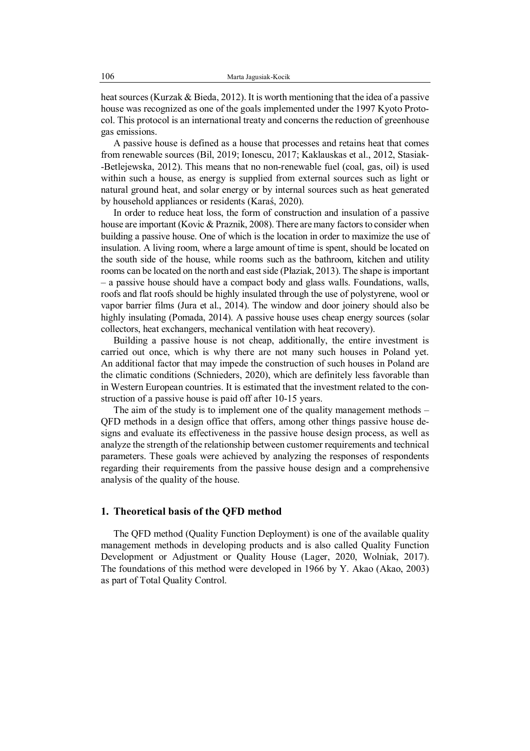heat sources (Kurzak & Bieda, 2012). It is worth mentioning that the idea of a passive house was recognized as one of the goals implemented under the 1997 Kyoto Protocol. This protocol is an international treaty and concerns the reduction of greenhouse gas emissions.

A passive house is defined as a house that processes and retains heat that comes from renewable sources (Bil, 2019; Ionescu, 2017; Kaklauskas et al., 2012, Stasiak- -Betlejewska, 2012). This means that no non-renewable fuel (coal, gas, oil) is used within such a house, as energy is supplied from external sources such as light or natural ground heat, and solar energy or by internal sources such as heat generated by household appliances or residents (Karaś, 2020).

In order to reduce heat loss, the form of construction and insulation of a passive house are important (Kovic & Praznik, 2008). There are many factors to consider when building a passive house. One of which is the location in order to maximize the use of insulation. A living room, where a large amount of time is spent, should be located on the south side of the house, while rooms such as the bathroom, kitchen and utility rooms can be located on the north and east side (Płaziak, 2013). The shape is important – a passive house should have a compact body and glass walls. Foundations, walls, roofs and flat roofs should be highly insulated through the use of polystyrene, wool or vapor barrier films (Jura et al., 2014). The window and door joinery should also be highly insulating (Pomada, 2014). A passive house uses cheap energy sources (solar collectors, heat exchangers, mechanical ventilation with heat recovery).

Building a passive house is not cheap, additionally, the entire investment is carried out once, which is why there are not many such houses in Poland yet. An additional factor that may impede the construction of such houses in Poland are the climatic conditions (Schnieders, 2020), which are definitely less favorable than in Western European countries. It is estimated that the investment related to the construction of a passive house is paid off after 10-15 years.

The aim of the study is to implement one of the quality management methods – QFD methods in a design office that offers, among other things passive house designs and evaluate its effectiveness in the passive house design process, as well as analyze the strength of the relationship between customer requirements and technical parameters. These goals were achieved by analyzing the responses of respondents regarding their requirements from the passive house design and a comprehensive analysis of the quality of the house.

## **1. Theoretical basis of the QFD method**

The QFD method (Quality Function Deployment) is one of the available quality management methods in developing products and is also called Quality Function Development or Adjustment or Quality House (Lager, 2020, Wolniak, 2017). The foundations of this method were developed in 1966 by Y. Akao (Akao, 2003) as part of Total Quality Control.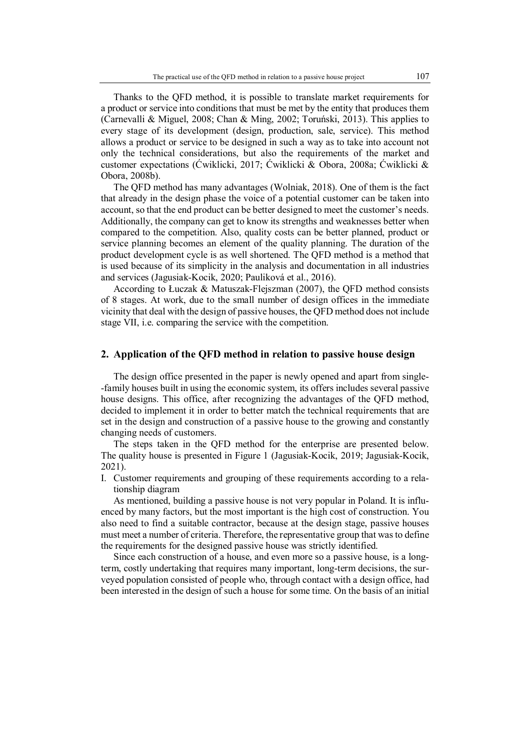Thanks to the QFD method, it is possible to translate market requirements for a product or service into conditions that must be met by the entity that produces them (Carnevalli & Miguel, 2008; Chan & Ming, 2002; Toruński, 2013). This applies to every stage of its development (design, production, sale, service). This method allows a product or service to be designed in such a way as to take into account not only the technical considerations, but also the requirements of the market and customer expectations (Ćwiklicki, 2017; Ćwiklicki & Obora, 2008a; Ćwiklicki & Obora, 2008b).

The QFD method has many advantages (Wolniak, 2018). One of them is the fact that already in the design phase the voice of a potential customer can be taken into account, so that the end product can be better designed to meet the customer's needs. Additionally, the company can get to know its strengths and weaknesses better when compared to the competition. Also, quality costs can be better planned, product or service planning becomes an element of the quality planning. The duration of the product development cycle is as well shortened. The QFD method is a method that is used because of its simplicity in the analysis and documentation in all industries and services (Jagusiak-Kocik, 2020; Pauliková et al., 2016).

According to Łuczak & Matuszak-Flejszman (2007), the QFD method consists of 8 stages. At work, due to the small number of design offices in the immediate vicinity that deal with the design of passive houses, the QFD method does not include stage VII, i.e. comparing the service with the competition.

#### **2. Application of the QFD method in relation to passive house design**

The design office presented in the paper is newly opened and apart from single- -family houses built in using the economic system, its offers includes several passive house designs. This office, after recognizing the advantages of the QFD method, decided to implement it in order to better match the technical requirements that are set in the design and construction of a passive house to the growing and constantly changing needs of customers.

The steps taken in the QFD method for the enterprise are presented below. The quality house is presented in Figure 1 (Jagusiak-Kocik, 2019; Jagusiak-Kocik, 2021).

I. Customer requirements and grouping of these requirements according to a relationship diagram

As mentioned, building a passive house is not very popular in Poland. It is influenced by many factors, but the most important is the high cost of construction. You also need to find a suitable contractor, because at the design stage, passive houses must meet a number of criteria. Therefore, the representative group that was to define the requirements for the designed passive house was strictly identified.

Since each construction of a house, and even more so a passive house, is a longterm, costly undertaking that requires many important, long-term decisions, the surveyed population consisted of people who, through contact with a design office, had been interested in the design of such a house for some time. On the basis of an initial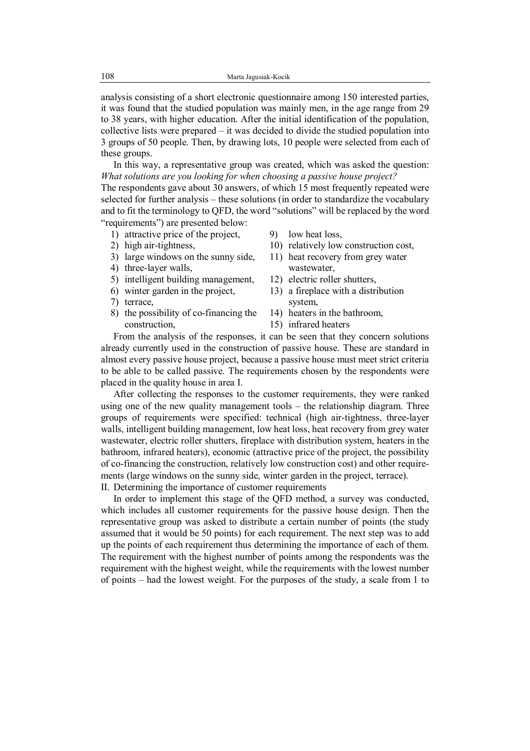analysis consisting of a short electronic questionnaire among 150 interested parties, it was found that the studied population was mainly men, in the age range from 29 to 38 years, with higher education. After the initial identification of the population, collective lists were prepared – it was decided to divide the studied population into 3 groups of 50 people. Then, by drawing lots, 10 people were selected from each of these groups.

In this way, a representative group was created, which was asked the question: *What solutions are you looking for when choosing a passive house project?* 

The respondents gave about 30 answers, of which 15 most frequently repeated were selected for further analysis – these solutions (in order to standardize the vocabulary and to fit the terminology to QFD, the word "solutions" will be replaced by the word "requirements") are presented below:

- 1) attractive price of the project,
- 2) high air-tightness,
- 3) large windows on the sunny side,
- 4) three-layer walls,
- 5) intelligent building management,
- 6) winter garden in the project,
- 7) terrace,
- 8) the possibility of co-financing the construction,
- 9) low heat loss,
- 10) relatively low construction cost,
- 11) heat recovery from grey water wastewater,
- 12) electric roller shutters,
- 13) a fireplace with a distribution system,
- 14) heaters in the bathroom,
- 15) infrared heaters

From the analysis of the responses, it can be seen that they concern solutions already currently used in the construction of passive house. These are standard in almost every passive house project, because a passive house must meet strict criteria to be able to be called passive. The requirements chosen by the respondents were placed in the quality house in area I.

After collecting the responses to the customer requirements, they were ranked using one of the new quality management tools – the relationship diagram. Three groups of requirements were specified: technical (high air-tightness, three-layer walls, intelligent building management, low heat loss, heat recovery from grey water wastewater, electric roller shutters, fireplace with distribution system, heaters in the bathroom, infrared heaters), economic (attractive price of the project, the possibility of co-financing the construction, relatively low construction cost) and other requirements (large windows on the sunny side, winter garden in the project, terrace).

II. Determining the importance of customer requirements

In order to implement this stage of the QFD method, a survey was conducted, which includes all customer requirements for the passive house design. Then the representative group was asked to distribute a certain number of points (the study assumed that it would be 50 points) for each requirement. The next step was to add up the points of each requirement thus determining the importance of each of them. The requirement with the highest number of points among the respondents was the requirement with the highest weight, while the requirements with the lowest number of points – had the lowest weight. For the purposes of the study, a scale from 1 to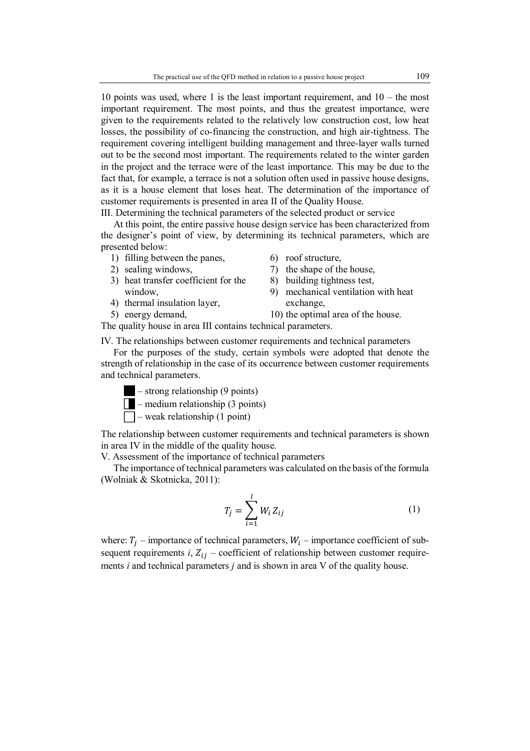10 points was used, where 1 is the least important requirement, and 10 – the most important requirement. The most points, and thus the greatest importance, were given to the requirements related to the relatively low construction cost, low heat losses, the possibility of co-financing the construction, and high air-tightness. The requirement covering intelligent building management and three-layer walls turned out to be the second most important. The requirements related to the winter garden in the project and the terrace were of the least importance. This may be due to the fact that, for example, a terrace is not a solution often used in passive house designs, as it is a house element that loses heat. The determination of the importance of customer requirements is presented in area II of the Quality House.

III. Determining the technical parameters of the selected product or service

At this point, the entire passive house design service has been characterized from the designer's point of view, by determining its technical parameters, which are presented below:

- 1) filling between the panes,
- 2) sealing windows,
- 3) heat transfer coefficient for the window,
- 4) thermal insulation layer,
- 5) energy demand,
- 6) roof structure,
- 7) the shape of the house,
- 8) building tightness test,
- 9) mechanical ventilation with heat exchange,
- 10) the optimal area of the house.

The quality house in area III contains technical parameters.

IV. The relationships between customer requirements and technical parameters

For the purposes of the study, certain symbols were adopted that denote the strength of relationship in the case of its occurrence between customer requirements and technical parameters.



- strong relationship (9 points)
- $\Box$  medium relationship (3 points)
- $\Box$  weak relationship (1 point)

The relationship between customer requirements and technical parameters is shown in area IV in the middle of the quality house.

V. Assessment of the importance of technical parameters

The importance of technical parameters was calculated on the basis of the formula (Wolniak & Skotnicka, 2011):

$$
T_j = \sum_{i=1}^{l} W_i Z_{ij}
$$
 (1)

where:  $T_j$  – importance of technical parameters,  $W_i$  – importance coefficient of subsequent requirements *i*,  $Z_{ij}$  – coefficient of relationship between customer requirements *i* and technical parameters *j* and is shown in area V of the quality house.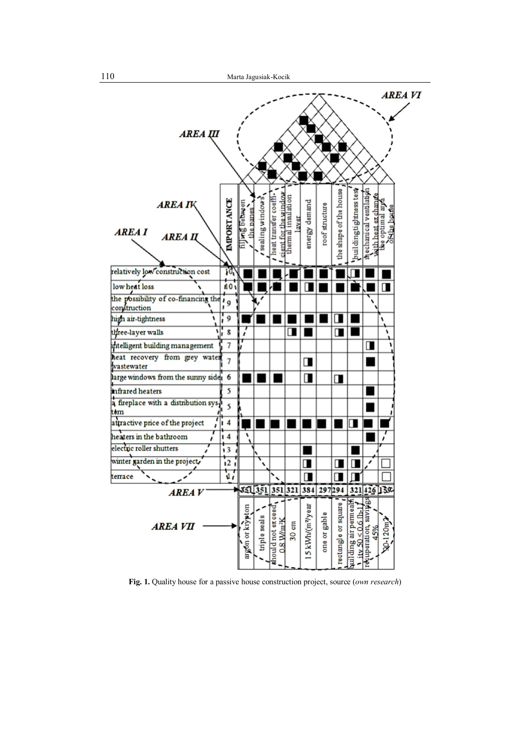

**Fig. 1.** Quality house for a passive house construction project, source (*own research*)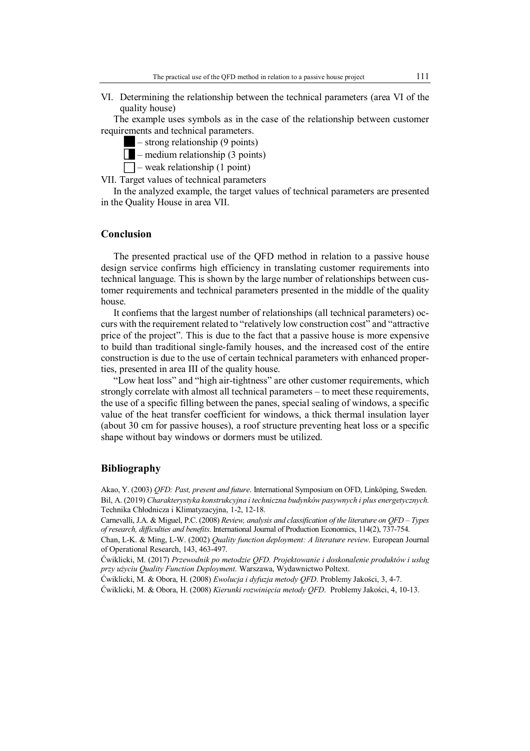VI. Determining the relationship between the technical parameters (area VI of the quality house)

The example uses symbols as in the case of the relationship between customer requirements and technical parameters.

– strong relationship (9 points)

 $\sqrt{\phantom{a}}$  – medium relationship (3 points)

 $\Box$  – weak relationship (1 point)

VII. Target values of technical parameters

In the analyzed example, the target values of technical parameters are presented in the Quality House in area VII.

#### **Conclusion**

The presented practical use of the QFD method in relation to a passive house design service confirms high efficiency in translating customer requirements into technical language. This is shown by the large number of relationships between customer requirements and technical parameters presented in the middle of the quality house.

It confiems that the largest number of relationships (all technical parameters) occurs with the requirement related to "relatively low construction cost" and "attractive price of the project". This is due to the fact that a passive house is more expensive to build than traditional single-family houses, and the increased cost of the entire construction is due to the use of certain technical parameters with enhanced properties, presented in area III of the quality house.

"Low heat loss" and "high air-tightness" are other customer requirements, which strongly correlate with almost all technical parameters – to meet these requirements, the use of a specific filling between the panes, special sealing of windows, a specific value of the heat transfer coefficient for windows, a thick thermal insulation layer (about 30 cm for passive houses), a roof structure preventing heat loss or a specific shape without bay windows or dormers must be utilized.

#### **Bibliography**

Akao, Y. (2003) *QFD: Past, present and future*. International Symposium on OFD, Linköping, Sweden. Bil, A. (2019) *Charakterystyka konstrukcyjna i techniczna budynków pasywnych i plus energetycznych.*  Technika Chłodnicza i Klimatyzacyjna, 1-2, 12-18.

Carnevalli, J.A. & Miguel, P.C. (2008) *Review, analysis and classification of the literature on QFD – Types of research, difficulties and benefits*. International Journal of Production Economics, 114(2), 737-754.

Chan, L-K. & Ming, L-W. (2002) *Quality function deployment: A literature review*. European Journal of Operational Research, 143, 463-497.

Ćwiklicki, M. (2017) *Przewodnik po metodzie QFD. Projektowanie i doskonalenie produktów i usług przy użyciu Quality Function Deployment*. Warszawa, Wydawnictwo Poltext.

Ćwiklicki, M. & Obora, H. (2008) *Ewolucja i dyfuzja metody QFD*. Problemy Jakości, 3, 4-7.

Ćwiklicki, M. & Obora, H. (2008) *Kierunki rozwinięcia metody QFD*. Problemy Jakości, 4, 10-13.